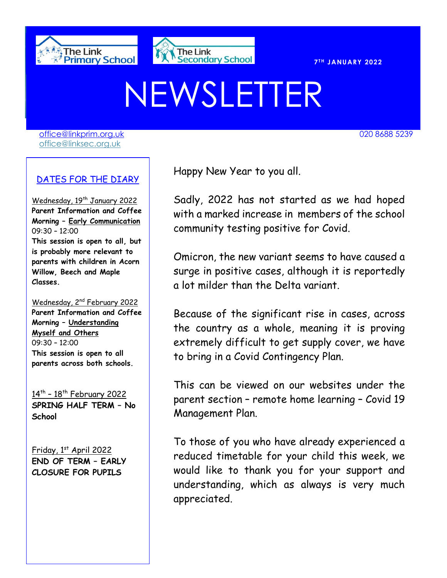



020 8688 7691

**T H JANUARY 2022** 

# NEWSLETTER

[office@linkprim.org.uk](mailto:office@linkprim.org.uk) 020 8688 5239 office@linksec.org.uk

### DATES FOR THE DIARY

Wednesday, 19<sup>th</sup> January 2022 **Parent Information and Coffee Morning – Early Communication** 09:30 – 12:00 **This session is open to all, but is probably more relevant to parents with children in Acorn Willow, Beech and Maple Classes.**

Wednesday, 2<sup>nd</sup> February 2022 **Parent Information and Coffee Morning – Understanding Myself and Others**  09:30 – 12:00 **This session is open to all parents across both schools.**

14<sup>th</sup> - 18<sup>th</sup> February 2022 **SPRING HALF TERM – No School**

Friday, 1st April 2022 **END OF TERM – EARLY CLOSURE FOR PUPILS**

Happy New Year to you all.

Sadly, 2022 has not started as we had hoped with a marked increase in members of the school community testing positive for Covid.

Omicron, the new variant seems to have caused a surge in positive cases, although it is reportedly a lot milder than the Delta variant.

Because of the significant rise in cases, across the country as a whole, meaning it is proving extremely difficult to get supply cover, we have to bring in a Covid Contingency Plan.

This can be viewed on our websites under the parent section – remote home learning – Covid 19 Management Plan.

To those of you who have already experienced a reduced timetable for your child this week, we would like to thank you for your support and understanding, which as always is very much appreciated.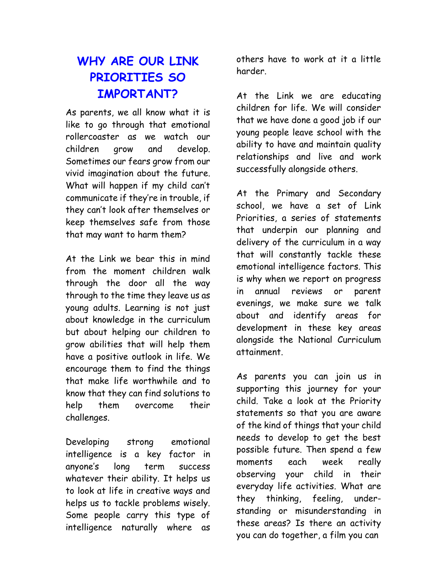# **WHY ARE OUR LINK PRIORITIES SO IMPORTANT?**

As parents, we all know what it is like to go through that emotional rollercoaster as we watch our children grow and develop. Sometimes our fears grow from our vivid imagination about the future. What will happen if my child can't communicate if they're in trouble, if they can't look after themselves or keep themselves safe from those that may want to harm them?

At the Link we bear this in mind from the moment children walk through the door all the way through to the time they leave us as young adults. Learning is not just about knowledge in the curriculum but about helping our children to grow abilities that will help them have a positive outlook in life. We encourage them to find the things that make life worthwhile and to know that they can find solutions to help them overcome their challenges.

Developing strong emotional intelligence is a key factor in anyone's long term success whatever their ability. It helps us to look at life in creative ways and helps us to tackle problems wisely. Some people carry this type of intelligence naturally where as

others have to work at it a little harder.

At the Link we are educating children for life. We will consider that we have done a good job if our young people leave school with the ability to have and maintain quality relationships and live and work successfully alongside others.

At the Primary and Secondary school, we have a set of Link Priorities, a series of statements that underpin our planning and delivery of the curriculum in a way that will constantly tackle these emotional intelligence factors. This is why when we report on progress in annual reviews or parent evenings, we make sure we talk about and identify areas for development in these key areas alongside the National Curriculum attainment.

As parents you can join us in supporting this journey for your child. Take a look at the Priority statements so that you are aware of the kind of things that your child needs to develop to get the best possible future. Then spend a few moments each week really observing your child in their everyday life activities. What are they thinking, feeling, understanding or misunderstanding in these areas? Is there an activity you can do together, a film you can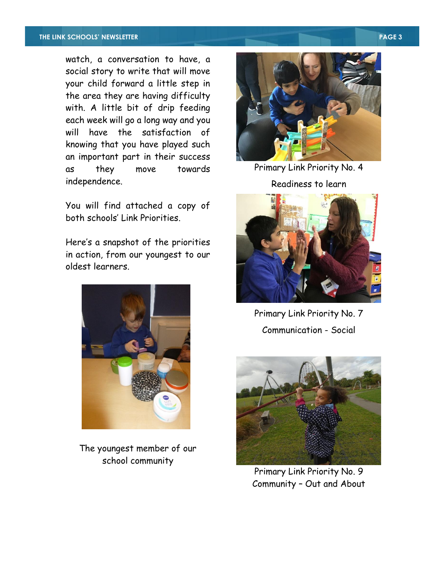#### **THE LINK SCHOOLS' NEWSLETTER PAGE 3**

watch, a conversation to have, a social story to write that will move your child forward a little step in the area they are having difficulty with. A little bit of drip feeding each week will go a long way and you will have the satisfaction of knowing that you have played such an important part in their success as they move towards independence.

You will find attached a copy of both schools' Link Priorities.

Here's a snapshot of the priorities in action, from our youngest to our oldest learners.



The youngest member of our school community



Primary Link Priority No. 4

#### Readiness to learn



Primary Link Priority No. 7 Communication - Social



Primary Link Priority No. 9 Community – Out and About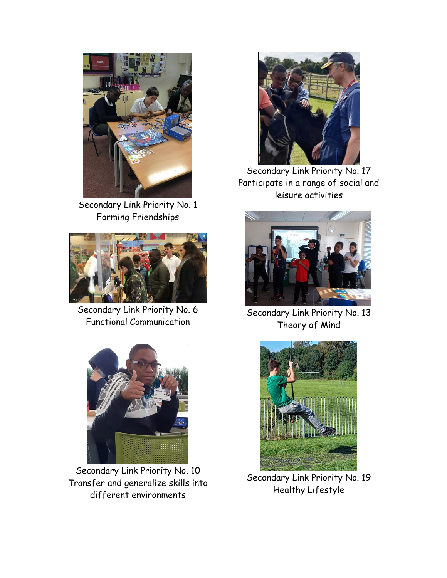

Secondary Link Priority No. 1 Forming Friendships



Secondary Link Priority No. 6 Functional Communication



Secondary Link Priority No. 10 Transfer and generalize skills into different environments



Secondary Link Priority No. 17 Participate in a range of social and leisure activities



Secondary Link Priority No. 13 Theory of Mind



Secondary Link Priority No. 19 Healthy Lifestyle